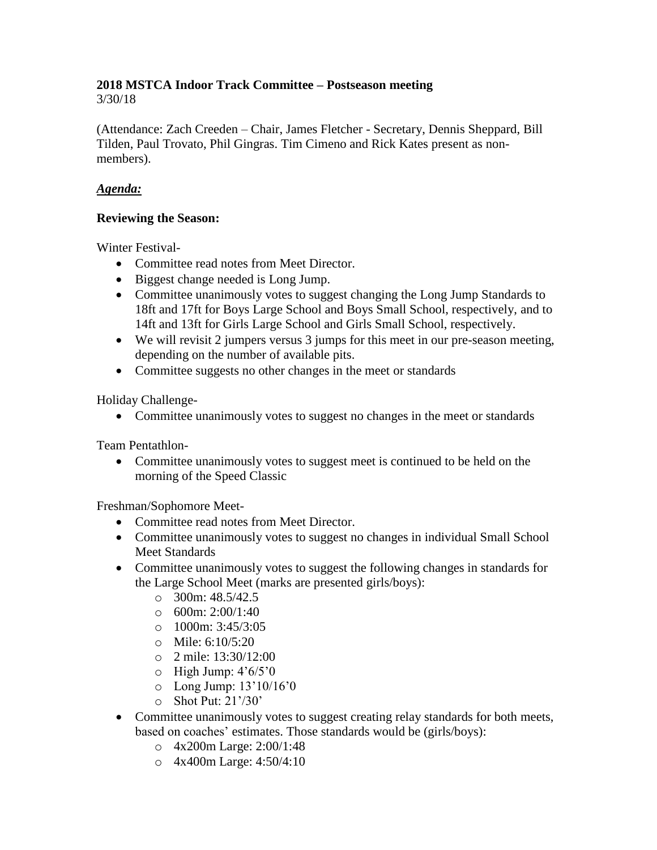#### **2018 MSTCA Indoor Track Committee – Postseason meeting** 3/30/18

(Attendance: Zach Creeden – Chair, James Fletcher - Secretary, Dennis Sheppard, Bill Tilden, Paul Trovato, Phil Gingras. Tim Cimeno and Rick Kates present as nonmembers).

# *Agenda:*

# **Reviewing the Season:**

Winter Festival-

- Committee read notes from Meet Director.
- Biggest change needed is Long Jump.
- Committee unanimously votes to suggest changing the Long Jump Standards to 18ft and 17ft for Boys Large School and Boys Small School, respectively, and to 14ft and 13ft for Girls Large School and Girls Small School, respectively.
- We will revisit 2 jumpers versus 3 jumps for this meet in our pre-season meeting, depending on the number of available pits.
- Committee suggests no other changes in the meet or standards

Holiday Challenge-

• Committee unanimously votes to suggest no changes in the meet or standards

Team Pentathlon-

• Committee unanimously votes to suggest meet is continued to be held on the morning of the Speed Classic

Freshman/Sophomore Meet-

- Committee read notes from Meet Director.
- Committee unanimously votes to suggest no changes in individual Small School Meet Standards
- Committee unanimously votes to suggest the following changes in standards for the Large School Meet (marks are presented girls/boys):
	- $\degree$  300m: 48.5/42.5
	- $\circ$  600m: 2:00/1:40
	- $\circ$  1000m: 3:45/3:05
	- o Mile: 6:10/5:20
	- o 2 mile: 13:30/12:00
	- $\circ$  High Jump:  $4^{\circ}6/5^{\circ}0$
	- o Long Jump: 13'10/16'0
	- o Shot Put: 21'/30'
- Committee unanimously votes to suggest creating relay standards for both meets, based on coaches' estimates. Those standards would be (girls/boys):
	- o 4x200m Large: 2:00/1:48
	- o 4x400m Large: 4:50/4:10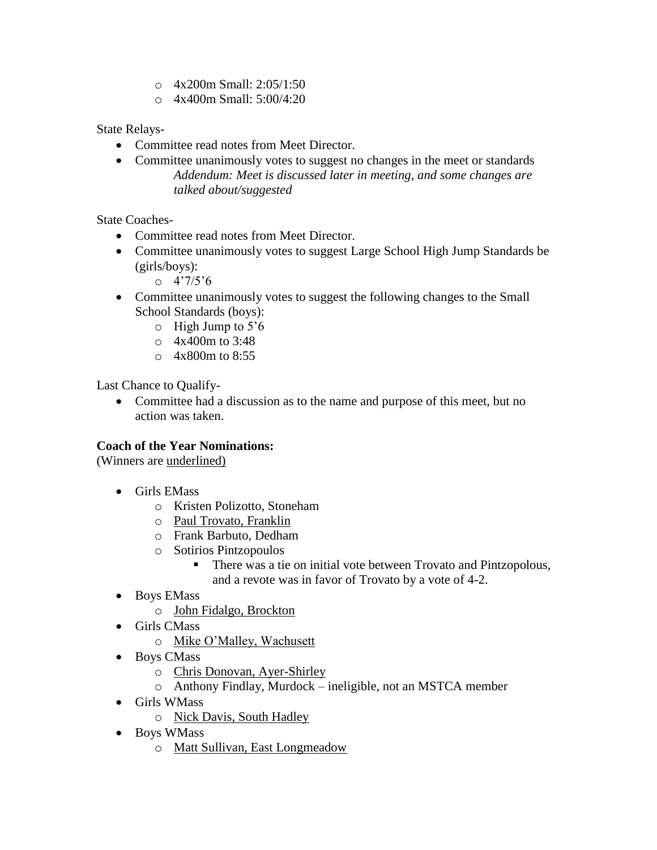- o 4x200m Small: 2:05/1:50
- $\Omega = 4x400$ m Small: 5:00/4:20

State Relays-

- Committee read notes from Meet Director.
- Committee unanimously votes to suggest no changes in the meet or standards *Addendum: Meet is discussed later in meeting, and some changes are talked about/suggested*

State Coaches-

- Committee read notes from Meet Director.
- Committee unanimously votes to suggest Large School High Jump Standards be (girls/boys):
	- $0 \quad 4'7/5'6$
- Committee unanimously votes to suggest the following changes to the Small School Standards (boys):
	- o High Jump to 5'6
	- o 4x400m to 3:48
	- o 4x800m to 8:55

Last Chance to Qualify-

• Committee had a discussion as to the name and purpose of this meet, but no action was taken.

### **Coach of the Year Nominations:**

(Winners are underlined)

- **•** Girls EMass
	- o Kristen Polizotto, Stoneham
	- o Paul Trovato, Franklin
	- o Frank Barbuto, Dedham
	- o Sotirios Pintzopoulos
		- There was a tie on initial vote between Trovato and Pintzopolous, and a revote was in favor of Trovato by a vote of 4-2.
- Boys EMass
	- o John Fidalgo, Brockton
- Girls CMass
	- o Mike O'Malley, Wachusett
- Boys CMass
	- o Chris Donovan, Ayer-Shirley
	- o Anthony Findlay, Murdock ineligible, not an MSTCA member
- Girls WMass
	- o Nick Davis, South Hadley
- Boys WMass
	- o Matt Sullivan, East Longmeadow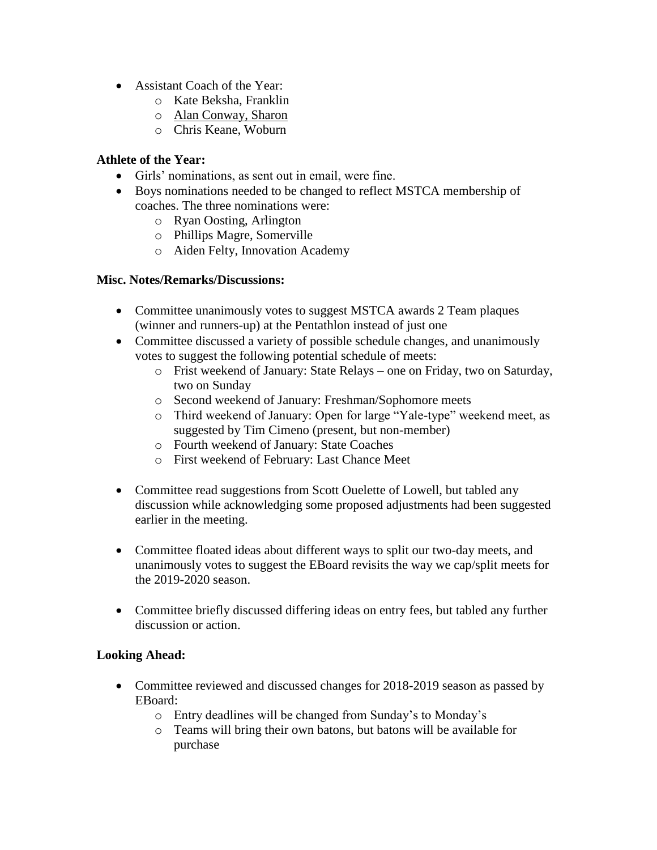- Assistant Coach of the Year:
	- o Kate Beksha, Franklin
	- o Alan Conway, Sharon
	- o Chris Keane, Woburn

# **Athlete of the Year:**

- Girls' nominations, as sent out in email, were fine.
- Boys nominations needed to be changed to reflect MSTCA membership of coaches. The three nominations were:
	- o Ryan Oosting, Arlington
	- o Phillips Magre, Somerville
	- o Aiden Felty, Innovation Academy

# **Misc. Notes/Remarks/Discussions:**

- Committee unanimously votes to suggest MSTCA awards 2 Team plaques (winner and runners-up) at the Pentathlon instead of just one
- Committee discussed a variety of possible schedule changes, and unanimously votes to suggest the following potential schedule of meets:
	- o Frist weekend of January: State Relays one on Friday, two on Saturday, two on Sunday
	- o Second weekend of January: Freshman/Sophomore meets
	- o Third weekend of January: Open for large "Yale-type" weekend meet, as suggested by Tim Cimeno (present, but non-member)
	- o Fourth weekend of January: State Coaches
	- o First weekend of February: Last Chance Meet
- Committee read suggestions from Scott Ouelette of Lowell, but tabled any discussion while acknowledging some proposed adjustments had been suggested earlier in the meeting.
- Committee floated ideas about different ways to split our two-day meets, and unanimously votes to suggest the EBoard revisits the way we cap/split meets for the 2019-2020 season.
- Committee briefly discussed differing ideas on entry fees, but tabled any further discussion or action.

# **Looking Ahead:**

- Committee reviewed and discussed changes for 2018-2019 season as passed by EBoard:
	- o Entry deadlines will be changed from Sunday's to Monday's
	- o Teams will bring their own batons, but batons will be available for purchase